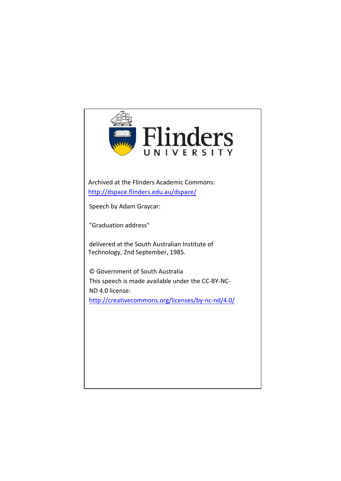

Archived at the Flinders Academic Commons: <http://dspace.flinders.edu.au/dspace/>

Speech by Adam Graycar:

"Graduation address"

delivered at the South Australian Institute of Technology, 2nd September, 1985.

© Government of South Australia This speech is made available under the CC-BY-NC-[ND 4.0 license](http://creativecommons.org/licenses/by-nc-nd/4.0/): <http://creativecommons.org/licenses/by-nc-nd/4.0/>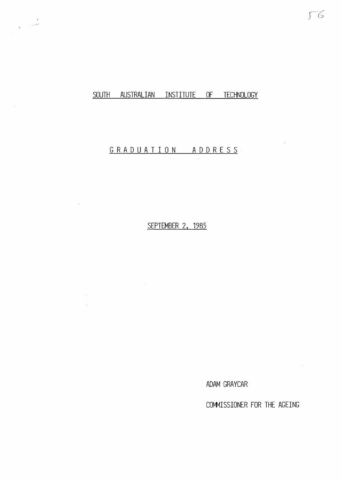## SOUTH AUSTRALIAN INSTITUTE OF TECHNOLOGY

 $\sim$ 

 $\ddot{\phantom{a}}$ 

## G R A D U A T I O N A D D R E S S

SEPTEMBER 2, 1985

 $\sim 10$ 

ADAM GRAYCAR

COMMISSIONER FOR THE AGEING

 $56$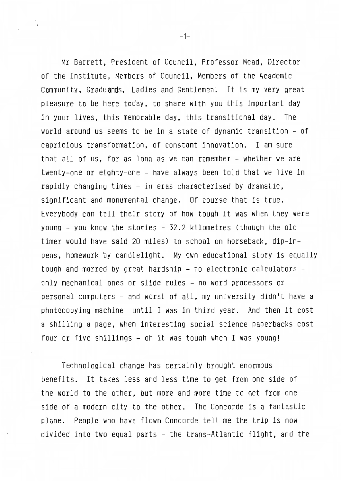Mr Barrett, President of Council, Professor Mead, Director of the Institute, Members of Council, Members of the Academic Community, Graduands, Ladies and Gentlemen. It is my very great pleasure to be here today, to share with you this important day in your lives, this memorable day, this transitional day. The world around us seems to be in a state of dynamic transition - of capricious transformation, of constant innovation. I am sure that all of us, for as long as we can remember - whether we are twenty-one or eighty-one - have always been told that we live in rapidly changing times - in eras characterised by dramatic, significant and monumental change. Of course that is true. Everybody can tell their story of how tough it was when they were young - you know the stories - 32.2 kilometres (though the old timer would have said 20 miles) to school on horseback, dip-inpens, homework by candlelight. My own educational story is equally tough and marred by great hardship - no electronic calculators only mechanical ones or slide rules - no word processors or personal computers - and worst of all, my university didn't have a photocopying machine until I was in third year. And then it cost a shilling a page, when interesting social science paperbacks cost four or five shillings - oh it was tough when I was young!

Technological change has certainly brought enormous benefits. It takes less and less time to get from one side of the world to the other, but more and more time to get from one side of a modern city to the other. The Concorde is a fantastic plane. People who have flown Concorde tell me the trip is now divided into two equal parts - the trans-Atlantic flight, and the

 $-1-$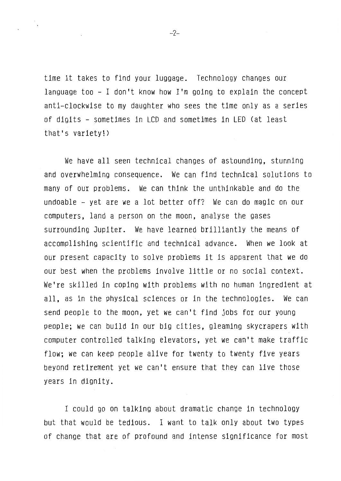time it takes to find your luggage. Technology changes our language too - I don't know how I'm going to explain the concept anti-clockwise to my daughter who sees the time only as a series of digits - sometimes in LCD and sometimes in LED (at least that's variety!)

We have all seen technical changes of astounding, stunning and overwhelming consequence. We can find technical solutions to many of our problems. We can think the unthinkable and do the undoable - yet are we a lot better off? We can do magic on our computers, land a person on the moon, analyse the gases surrounding Jupiter. We have learned brilliantly the means of accomplishing scientific and technical advance. When we look at our present capacity to solve problems it is apparent that we do our best when the problems involve little or no social context. We're skilled in coping with problems with no human ingredient at all, as in the physical sciences or in the technologies. We can send people to the moon, yet we can't find jobs for our young people; we can build in our big cities, gleaming skycrapers with computer controlled talking elevators, yet we can't make traffic flow; we can keep people alive for twenty to twenty five years beyond retirement yet we can't ensure that they can live those years in dignity.

I could go on talking about dramatic change in technology but that would be tedious. I want to talk only about two types of change that are of profound and intense significance for most

-2-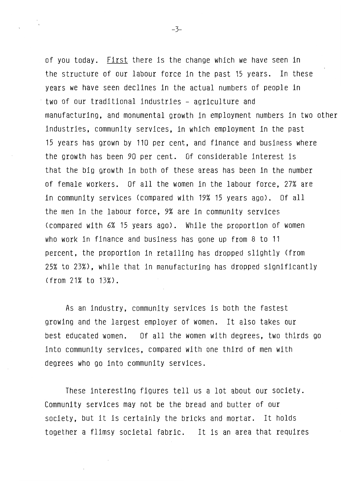of you today. First there is the change which we have seen in the structure of our labour force in the past 15 years. In these years we have seen declines in the actual numbers of people in two of our traditional industries - agriculture and manufacturing, and monumental growth in employment numbers in two other industries, community services, in which employment in the past 15 years has grown by 110 per cent, and finance and business where the growth has been 90 per cent. Of considerable interest is that the big growth in both of these areas has been in the number of female workers. Of all the women in the labour force, 27% are in community services (compared with 19% 15 years ago). Of all the men in the labour force, 9% are in community services (compared with 6% 15 years ago). While the proportion of women who work in finance and business has gone up from 8 to 11 percent, the proportion in retailing has dropped slightly (from 25% to 23%), while that in manufacturing has dropped significantly (from 21% to 13%).

As an industry, community services is both the fastest growing and the largest employer of women. It also takes our best educated women. Of all the women with degrees, two thirds go into community services, compared with one third of men with degrees who go into community services.

These interesting figures tell us a lot about our society. Community services may not be the bread and butter of our society, but it is certainly the bricks and mortar. It holds together a flimsy societal fabric. It is an area that requires

 $-3-$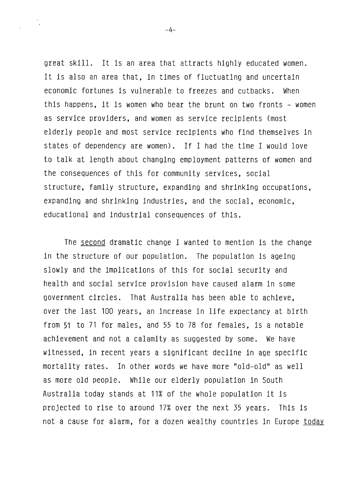great skill. It is an area that attracts highly educated women. It is also an area that, in times of fluctuating and uncertain economic fortunes is vulnerable to freezes and cutbacks. When this happens, it is women who bear the brunt on two fronts - women as service providers, and women as service recipients (most elderly people and most service recipients who find themselves in states of dependency are women). If I had the time I would love to talk at length about changing employment patterns of women and the consequences of this for community services, social structure, family structure, expanding and shrinking occupations, expanding and shrinking industries, and the social, economic, educational and industrial consequences of this.

The second dramatic change I wanted to mention is the change in the structure of our population. The population is ageing slowly and the implications of this for social security and health and social service provision have caused alarm in some government circles. That Australia has been able to achieve, over the last 100 years, an increase in life expectancy at birth from 51 to 71 for males, and 55 to 78 for females, is a notable achievement and not a calamity as suggested by some. We have witnessed, in recent years a significant decline in age specific mortality rates. In other words we have more ''old-old" as well as more old people. While our elderly population in South Australia today stands at 11% of the whole population it is projected to rise to around 17% over the next 35 years. This is not a cause for alarm, for a dozen wealthy countries in Europe today

-4-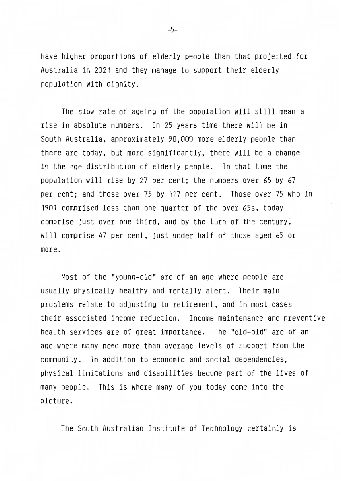have higher proportions of elderly people than that projected for Australia in 2021 and they manage to support their elderly population with dignity.

The slow rate of ageing of the population will still mean a rise in absolute numbers. In 25 years time there will be in South Australia, approximately 90,000 more elderly people than there are today, but more significantly, there will be a change in the age distribution of elderly people. In that time the population will rise by 27 per cent; the numbers over 65 by 67 per cent; and those over 75 by 117 per cent. Those over 75 who in 1901 comprised less than one quarter of the over 65s, today comprise just over one third, and by the turn of the century, will comprise 47 per cent, just under half of those aged 65 or more.

Most of the "young-old" are of an age where people are usually physically healthy and mentally alert. Their main problems relate to adjusting to retirement, and in most cases their associated income reduction. Income maintenance and preventive health services are of great importance. The "old-old" are of an age where many need more than average levels of support from the community. In addition to economic and social dependencies, physical limitations and disabilities become part of the lives of many people. This is where many of you today come into the picture.

The South Australian Institute of Technology certainly is

 $-5-$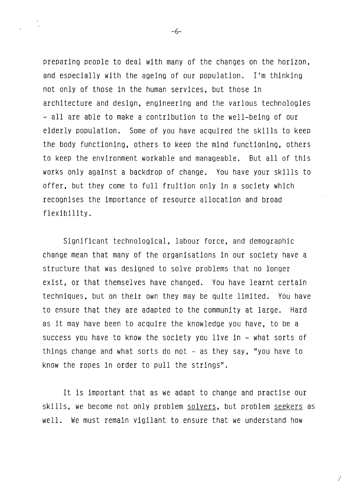preparing people to deal with many of the changes on the horizon, and especially with the ageing of our population. I'm thinking not only of those in the human services, but those in architecture and design, engineering and the various technologies - all are able to make a contribution to the well-being of our elderly population. Some of you have acquired the skills to keep the body functioning, others to keep the mind functioning, others to keep the environment workable and manageable. But all of this works only against a backdrop of change. You have your skills to offer, but they come to full fruition only in a society which recognises the importance of resource allocation and broad flexibility.

Significant technological, labour force, and demographic change mean that many of the organisations in our society have a structure that was designed to solve problems that no longer exist, or that themselves have changed. You have learnt certain techniques, but on their own they may be quite limited. You have to ensure that they are adapted to the community at large. Hard as it may have been to acquire the knowledge you have, to be a success you have to know the society you live in - what sorts of things change and what sorts do not  $-$  as they say, "you have to know the ropes in order to pull the strings".

It is important that as we adapt to change and practise our skills, we become not only problem solvers, but problem seekers as well. We must remain vigilant to ensure that we understand how

*I* 

-6-